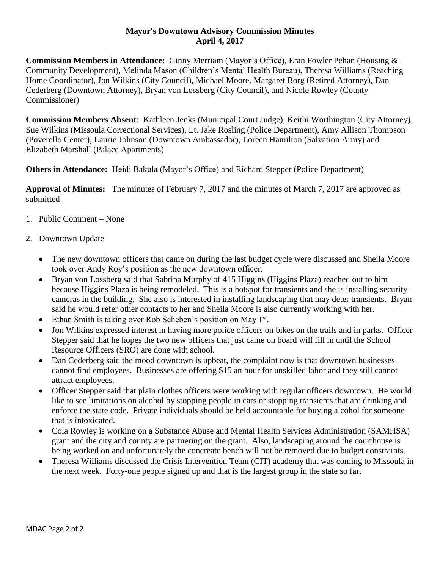## **Mayor's Downtown Advisory Commission Minutes April 4, 2017**

**Commission Members in Attendance:** Ginny Merriam (Mayor's Office), Eran Fowler Pehan (Housing & Community Development), Melinda Mason (Children's Mental Health Bureau), Theresa Williams (Reaching Home Coordinator), Jon Wilkins (City Council), Michael Moore, Margaret Borg (Retired Attorney), Dan Cederberg (Downtown Attorney), Bryan von Lossberg (City Council), and Nicole Rowley (County Commissioner)

**Commission Members Absent**: Kathleen Jenks (Municipal Court Judge), Keithi Worthington (City Attorney), Sue Wilkins (Missoula Correctional Services), Lt. Jake Rosling (Police Department), Amy Allison Thompson (Poverello Center), Laurie Johnson (Downtown Ambassador), Loreen Hamilton (Salvation Army) and Elizabeth Marshall (Palace Apartments)

**Others in Attendance:** Heidi Bakula (Mayor's Office) and Richard Stepper (Police Department)

**Approval of Minutes:** The minutes of February 7, 2017 and the minutes of March 7, 2017 are approved as submitted

- 1. Public Comment None
- 2. Downtown Update
	- The new downtown officers that came on during the last budget cycle were discussed and Sheila Moore took over Andy Roy's position as the new downtown officer.
	- Bryan von Lossberg said that Sabrina Murphy of 415 Higgins (Higgins Plaza) reached out to him because Higgins Plaza is being remodeled. This is a hotspot for transients and she is installing security cameras in the building. She also is interested in installing landscaping that may deter transients. Bryan said he would refer other contacts to her and Sheila Moore is also currently working with her.
	- Ethan Smith is taking over Rob Scheben's position on May 1<sup>st</sup>.
	- Jon Wilkins expressed interest in having more police officers on bikes on the trails and in parks. Officer Stepper said that he hopes the two new officers that just came on board will fill in until the School Resource Officers (SRO) are done with school.
	- Dan Cederberg said the mood downtown is upbeat, the complaint now is that downtown businesses cannot find employees. Businesses are offering \$15 an hour for unskilled labor and they still cannot attract employees.
	- Officer Stepper said that plain clothes officers were working with regular officers downtown. He would like to see limitations on alcohol by stopping people in cars or stopping transients that are drinking and enforce the state code. Private individuals should be held accountable for buying alcohol for someone that is intoxicated.
	- Cola Rowley is working on a Substance Abuse and Mental Health Services Administration (SAMHSA) grant and the city and county are partnering on the grant. Also, landscaping around the courthouse is being worked on and unfortunately the concreate bench will not be removed due to budget constraints.
	- Theresa Williams discussed the Crisis Intervention Team (CIT) academy that was coming to Missoula in the next week. Forty-one people signed up and that is the largest group in the state so far.